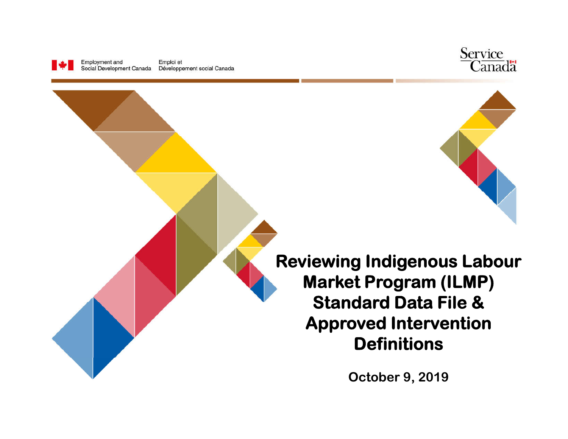





**Reviewing Indigenous Labour Market Program (ILMP) Standard Data File & Approved Intervention Definitions**

**October 9, 2019**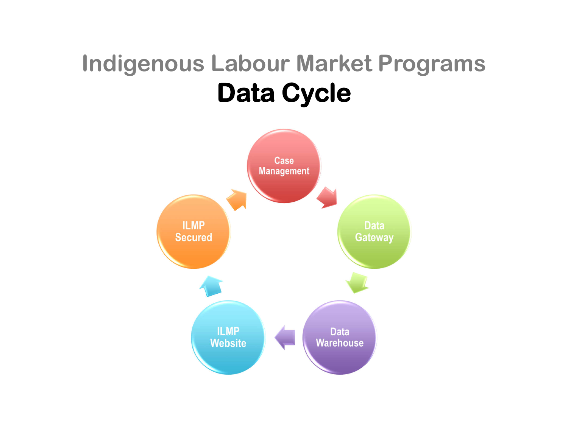### **Indigenous Labour Market Programs Data Cycle**

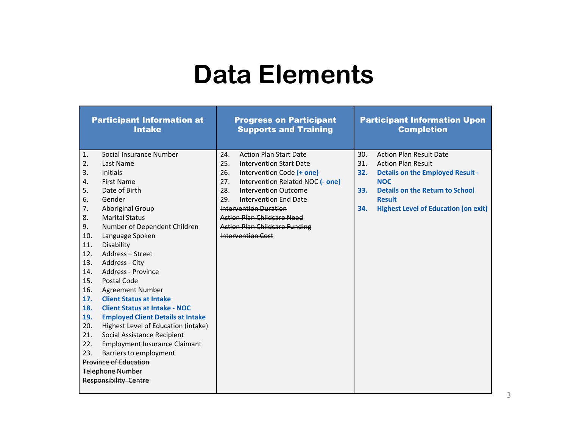### **Data Elements**

|                              |                              | <b>Participant Information at</b><br><b>Intake</b> |     | <b>Progress on Participant</b><br><b>Supports and Training</b> |     | <b>Participant Information Upon</b><br><b>Completion</b> |
|------------------------------|------------------------------|----------------------------------------------------|-----|----------------------------------------------------------------|-----|----------------------------------------------------------|
|                              | $\mathbf{1}$ .               | Social Insurance Number                            | 24. | <b>Action Plan Start Date</b>                                  | 30. | <b>Action Plan Result Date</b>                           |
|                              | 2.                           | Last Name                                          | 25. | <b>Intervention Start Date</b>                                 | 31. | <b>Action Plan Result</b>                                |
|                              | 3.                           | <b>Initials</b>                                    | 26. | Intervention Code (+ one)                                      | 32. | <b>Details on the Employed Result -</b>                  |
|                              | 4.                           | <b>First Name</b>                                  | 27. | Intervention Related NOC (- one)                               |     | <b>NOC</b>                                               |
|                              | 5.                           | Date of Birth                                      | 28. | <b>Intervention Outcome</b>                                    | 33. | <b>Details on the Return to School</b>                   |
|                              | 6.                           | Gender                                             | 29. | Intervention End Date                                          |     | <b>Result</b>                                            |
|                              | 7.                           | Aboriginal Group                                   |     | Intervention Duration                                          | 34. | <b>Highest Level of Education (on exit)</b>              |
|                              | 8.                           | <b>Marital Status</b>                              |     | <b>Action Plan Childcare Need</b>                              |     |                                                          |
|                              | 9.                           | Number of Dependent Children                       |     | <b>Action Plan Childcare Funding</b>                           |     |                                                          |
|                              | 10.                          | Language Spoken                                    |     | <b>Intervention Cost</b>                                       |     |                                                          |
|                              | 11.                          | Disability                                         |     |                                                                |     |                                                          |
|                              | 12.                          | Address-Street                                     |     |                                                                |     |                                                          |
|                              | 13.                          | Address - City                                     |     |                                                                |     |                                                          |
|                              | 14.                          | Address - Province                                 |     |                                                                |     |                                                          |
|                              | 15.                          | Postal Code                                        |     |                                                                |     |                                                          |
|                              | 16.                          | <b>Agreement Number</b>                            |     |                                                                |     |                                                          |
|                              | 17.                          | <b>Client Status at Intake</b>                     |     |                                                                |     |                                                          |
|                              | 18.                          | <b>Client Status at Intake - NOC</b>               |     |                                                                |     |                                                          |
|                              | 19.                          | <b>Employed Client Details at Intake</b>           |     |                                                                |     |                                                          |
|                              | 20.                          | Highest Level of Education (intake)                |     |                                                                |     |                                                          |
|                              | 21.                          | Social Assistance Recipient                        |     |                                                                |     |                                                          |
|                              | 22.                          | <b>Employment Insurance Claimant</b>               |     |                                                                |     |                                                          |
|                              | 23.                          | Barriers to employment                             |     |                                                                |     |                                                          |
| <b>Province of Education</b> |                              |                                                    |     |                                                                |     |                                                          |
| <b>Telephone Number</b>      |                              |                                                    |     |                                                                |     |                                                          |
|                              | <b>Responsibility Centre</b> |                                                    |     |                                                                |     |                                                          |
|                              |                              |                                                    |     |                                                                |     |                                                          |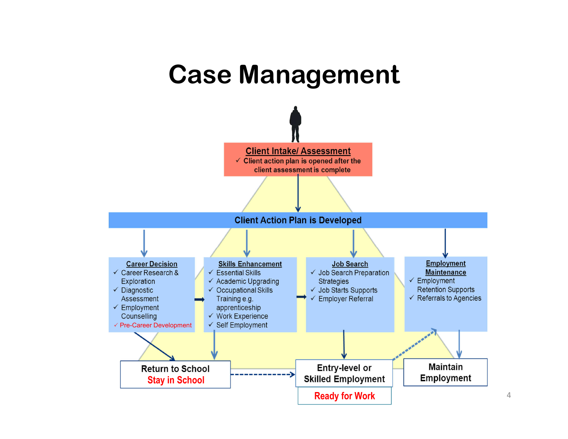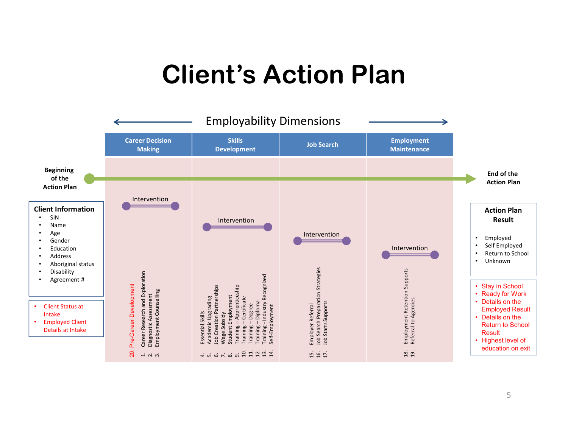### **Client's Action Plan**

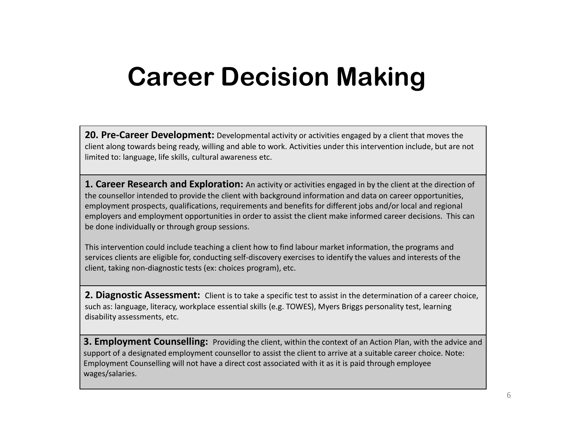### **Career Decision Making**

**20. Pre-Career Development:** Developmental activity or activities engaged by a client that moves the client along towards being ready, willing and able to work. Activities under this intervention include, but are not limited to: language, life skills, cultural awareness etc.

**1. Career Research and Exploration:** An activity or activities engaged in by the client at the direction of the counsellor intended to provide the client with background information and data on career opportunities, employment prospects, qualifications, requirements and benefits for different jobs and/or local and regional employers and employment opportunities in order to assist the client make informed career decisions. This can be done individually or through group sessions.

This intervention could include teaching a client how to find labour market information, the programs and services clients are eligible for, conducting self-discovery exercises to identify the values and interests of the client, taking non-diagnostic tests (ex: choices program), etc.

**2. Diagnostic Assessment:** Client is to take a specific test to assist in the determination of a career choice, such as: language, literacy, workplace essential skills (e.g. TOWES), Myers Briggs personality test, learning disability assessments, etc.

**3. Employment Counselling:** Providing the client, within the context of an Action Plan, with the advice and support of a designated employment counsellor to assist the client to arrive at a suitable career choice. Note: Employment Counselling will not have a direct cost associated with it as it is paid through employee wages/salaries.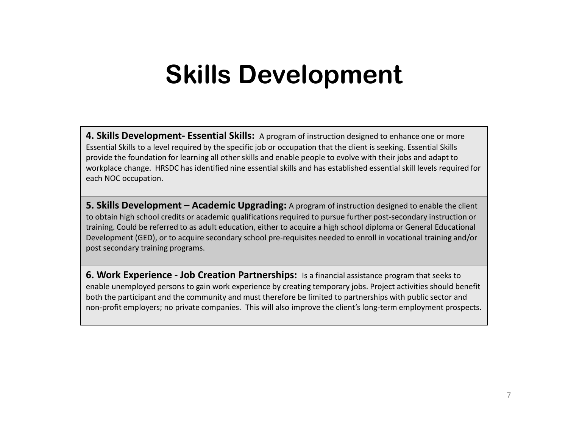**4. Skills Development- Essential Skills:** A program of instruction designed to enhance one or more Essential Skills to a level required by the specific job or occupation that the client is seeking. Essential Skills provide the foundation for learning all other skills and enable people to evolve with their jobs and adapt to workplace change. HRSDC has identified nine essential skills and has established essential skill levels required for each NOC occupation.

**5. Skills Development – Academic Upgrading:** A program of instruction designed to enable the client to obtain high school credits or academic qualifications required to pursue further post-secondary instruction or training. Could be referred to as adult education, either to acquire a high school diploma or General Educational Development (GED), or to acquire secondary school pre-requisites needed to enroll in vocational training and/or post secondary training programs.

**6. Work Experience - Job Creation Partnerships:** Is a financial assistance program that seeks to enable unemployed persons to gain work experience by creating temporary jobs. Project activities should benefit both the participant and the community and must therefore be limited to partnerships with public sector and non-profit employers; no private companies. This will also improve the client's long-term employment prospects.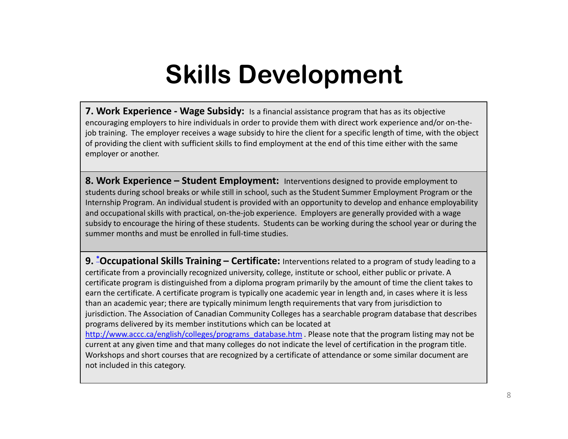**7. Work Experience - Wage Subsidy:** Is a financial assistance program that has as its objective encouraging employers to hire individuals in order to provide them with direct work experience and/or on-thejob training. The employer receives a wage subsidy to hire the client for a specific length of time, with the object of providing the client with sufficient skills to find employment at the end of this time either with the same employer or another.

**8. Work Experience – Student Employment:** Interventions designed to provide employment to students during school breaks or while still in school, such as the Student Summer Employment Program or the Internship Program. An individual student is provided with an opportunity to develop and enhance employability and occupational skills with practical, on-the-job experience. Employers are generally provided with a wage subsidy to encourage the hiring of these students. Students can be working during the school year or during the summer months and must be enrolled in full-time studies.

**9. \*Occupational Skills Training – Certificate:** Interventions related to a program of study leading to a certificate from a provincially recognized university, college, institute or school, either public or private. A certificate program is distinguished from a diploma program primarily by the amount of time the client takes to earn the certificate. A certificate program is typically one academic year in length and, in cases where it is less than an academic year; there are typically minimum length requirements that vary from jurisdiction to jurisdiction. The Association of Canadian Community Colleges has a searchable program database that describes programs delivered by its member institutions which can be located at http://www.accc.ca/english/colleges/programs\_database.htm . Please note that the program listing may not be

current at any given time and that many colleges do not indicate the level of certification in the program title. Workshops and short courses that are recognized by a certificate of attendance or some similar document are not included in this category.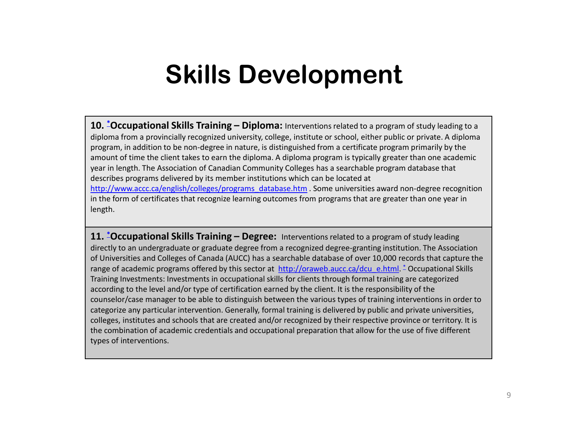**10. \*Occupational Skills Training – Diploma:** Interventions related to a program of study leading to a diploma from a provincially recognized university, college, institute or school, either public or private. A diploma program, in addition to be non-degree in nature, is distinguished from a certificate program primarily by the amount of time the client takes to earn the diploma. A diploma program is typically greater than one academic year in length. The Association of Canadian Community Colleges has a searchable program database that describes programs delivered by its member institutions which can be located at http://www.accc.ca/english/colleges/programs\_database.htm . Some universities award non-degree recognition in the form of certificates that recognize learning outcomes from programs that are greater than one year in length.

**11. \*Occupational Skills Training – Degree:** Interventions related to a program of study leading directly to an undergraduate or graduate degree from a recognized degree-granting institution. The Association of Universities and Colleges of Canada (AUCC) has a searchable database of over 10,000 records that capture the range of academic programs offered by this sector at http://oraweb.aucc.ca/dcu\_e.html. \* Occupational Skills Training Investments: Investments in occupational skills for clients through formal training are categorized according to the level and/or type of certification earned by the client. It is the responsibility of the counselor/case manager to be able to distinguish between the various types of training interventions in order to categorize any particular intervention. Generally, formal training is delivered by public and private universities, colleges, institutes and schools that are created and/or recognized by their respective province or territory. It is the combination of academic credentials and occupational preparation that allow for the use of five different types of interventions.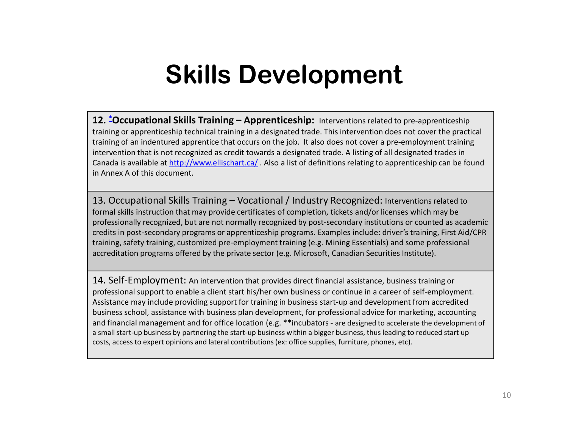**12. \*Occupational Skills Training – Apprenticeship:** Interventions related to pre-apprenticeship training or apprenticeship technical training in a designated trade. This intervention does not cover the practical training of an indentured apprentice that occurs on the job. It also does not cover a pre-employment training intervention that is not recognized as credit towards a designated trade. A listing of all designated trades in Canada is available at http://www.ellischart.ca/. Also a list of definitions relating to apprenticeship can be found in Annex A of this document.

13. Occupational Skills Training – Vocational / Industry Recognized: Interventions related to formal skills instruction that may provide certificates of completion, tickets and/or licenses which may be professionally recognized, but are not normally recognized by post-secondary institutions or counted as academic credits in post-secondary programs or apprenticeship programs. Examples include: driver's training, First Aid/CPR training, safety training, customized pre-employment training (e.g. Mining Essentials) and some professional accreditation programs offered by the private sector (e.g. Microsoft, Canadian Securities Institute).

14. Self-Employment: An intervention that provides direct financial assistance, business training or professional support to enable a client start his/her own business or continue in a career of self-employment. Assistance may include providing support for training in business start-up and development from accredited business school, assistance with business plan development, for professional advice for marketing, accounting and financial management and for office location (e.g. \*\*incubators - are designed to accelerate the development of a small start-up business by partnering the start-up business within a bigger business, thus leading to reduced start up costs, access to expert opinions and lateral contributions (ex: office supplies, furniture, phones, etc).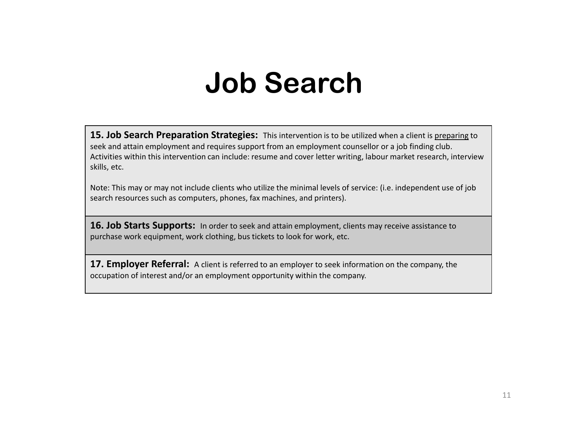# **Job Search**

**15. Job Search Preparation Strategies:** This intervention is to be utilized when a client is preparing to seek and attain employment and requires support from an employment counsellor or a job finding club. Activities within this intervention can include: resume and cover letter writing, labour market research, interview skills, etc.

Note: This may or may not include clients who utilize the minimal levels of service: (i.e. independent use of job search resources such as computers, phones, fax machines, and printers).

16. Job Starts Supports: In order to seek and attain employment, clients may receive assistance to purchase work equipment, work clothing, bus tickets to look for work, etc.

**17. Employer Referral:** A client is referred to an employer to seek information on the company, the occupation of interest and/or an employment opportunity within the company.